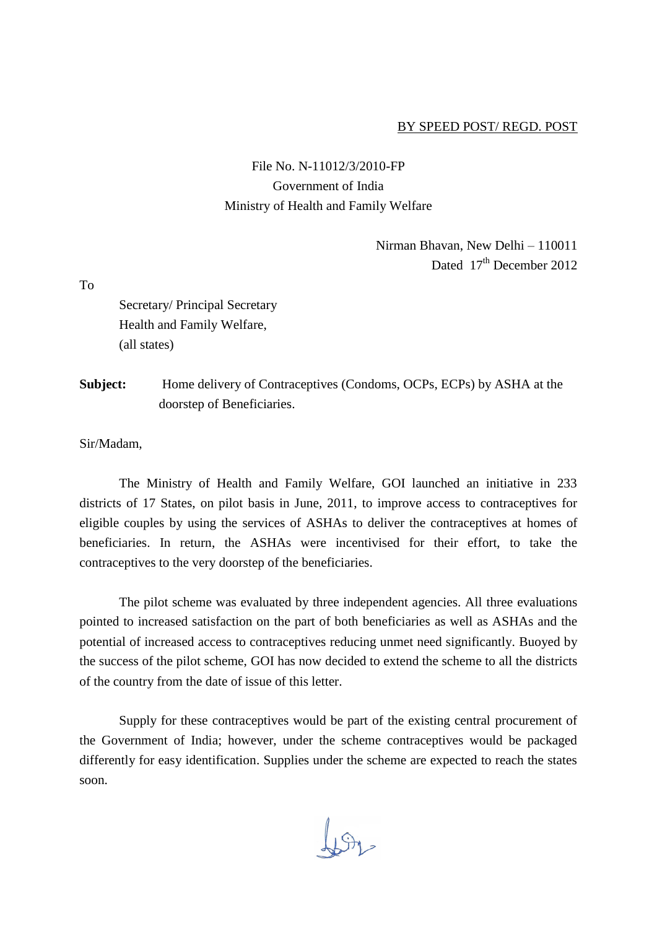#### BY SPEED POST/ REGD. POST

# File No. N-11012/3/2010-FP Government of India Ministry of Health and Family Welfare

Nirman Bhavan, New Delhi – 110011 Dated 17<sup>th</sup> December 2012

To

Secretary/ Principal Secretary Health and Family Welfare, (all states)

**Subject:** Home delivery of Contraceptives (Condoms, OCPs, ECPs) by ASHA at the doorstep of Beneficiaries.

Sir/Madam,

The Ministry of Health and Family Welfare, GOI launched an initiative in 233 districts of 17 States, on pilot basis in June, 2011, to improve access to contraceptives for eligible couples by using the services of ASHAs to deliver the contraceptives at homes of beneficiaries. In return, the ASHAs were incentivised for their effort, to take the contraceptives to the very doorstep of the beneficiaries.

The pilot scheme was evaluated by three independent agencies. All three evaluations pointed to increased satisfaction on the part of both beneficiaries as well as ASHAs and the potential of increased access to contraceptives reducing unmet need significantly. Buoyed by the success of the pilot scheme, GOI has now decided to extend the scheme to all the districts of the country from the date of issue of this letter.

Supply for these contraceptives would be part of the existing central procurement of the Government of India; however, under the scheme contraceptives would be packaged differently for easy identification. Supplies under the scheme are expected to reach the states soon.

 $\downarrow$  St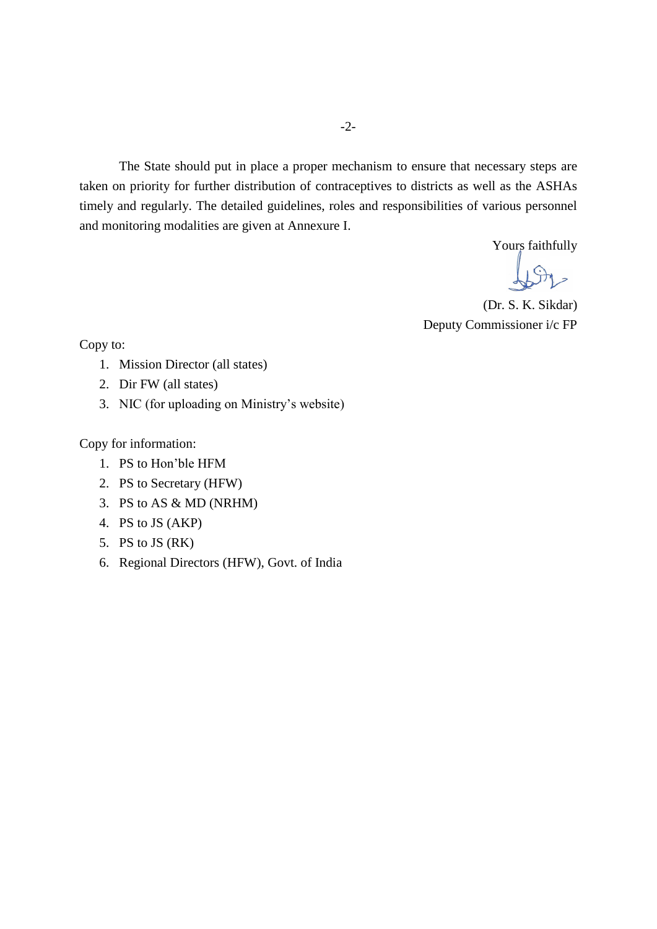The State should put in place a proper mechanism to ensure that necessary steps are taken on priority for further distribution of contraceptives to districts as well as the ASHAs timely and regularly. The detailed guidelines, roles and responsibilities of various personnel and monitoring modalities are given at Annexure I.

Yours faithfully

(Dr. S. K. Sikdar) Deputy Commissioner i/c FP

Copy to:

- 1. Mission Director (all states)
- 2. Dir FW (all states)
- 3. NIC (for uploading on Ministry's website)

Copy for information:

- 1. PS to Hon'ble HFM
- 2. PS to Secretary (HFW)
- 3. PS to AS & MD (NRHM)
- 4. PS to JS (AKP)
- 5. PS to JS (RK)
- 6. Regional Directors (HFW), Govt. of India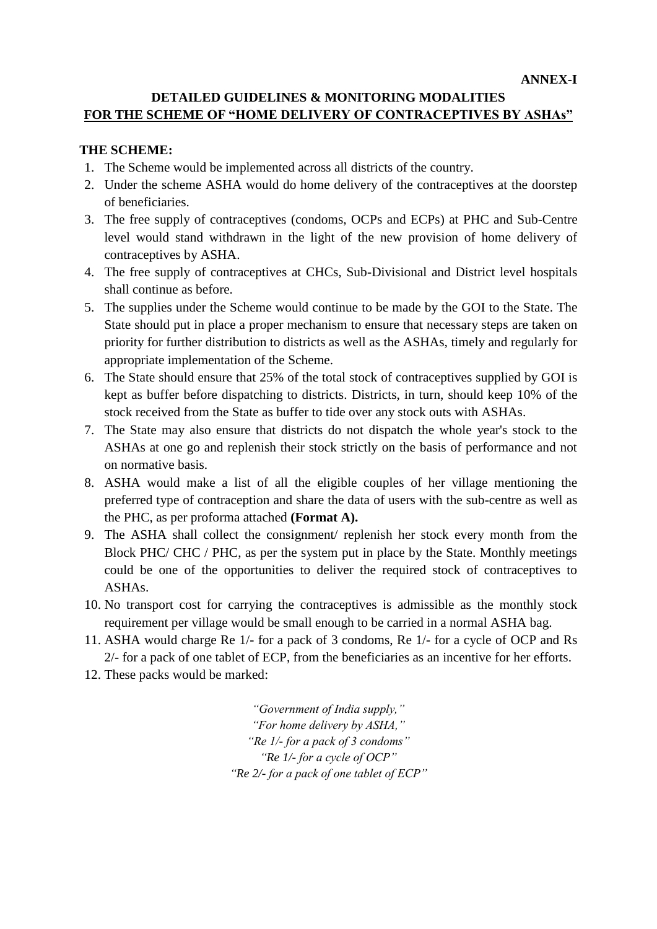### **DETAILED GUIDELINES & MONITORING MODALITIES FOR THE SCHEME OF "HOME DELIVERY OF CONTRACEPTIVES BY ASHAs"**

#### **THE SCHEME:**

- 1. The Scheme would be implemented across all districts of the country.
- 2. Under the scheme ASHA would do home delivery of the contraceptives at the doorstep of beneficiaries.
- 3. The free supply of contraceptives (condoms, OCPs and ECPs) at PHC and Sub-Centre level would stand withdrawn in the light of the new provision of home delivery of contraceptives by ASHA.
- 4. The free supply of contraceptives at CHCs, Sub-Divisional and District level hospitals shall continue as before.
- 5. The supplies under the Scheme would continue to be made by the GOI to the State. The State should put in place a proper mechanism to ensure that necessary steps are taken on priority for further distribution to districts as well as the ASHAs, timely and regularly for appropriate implementation of the Scheme.
- 6. The State should ensure that 25% of the total stock of contraceptives supplied by GOI is kept as buffer before dispatching to districts. Districts, in turn, should keep 10% of the stock received from the State as buffer to tide over any stock outs with ASHAs.
- 7. The State may also ensure that districts do not dispatch the whole year's stock to the ASHAs at one go and replenish their stock strictly on the basis of performance and not on normative basis.
- 8. ASHA would make a list of all the eligible couples of her village mentioning the preferred type of contraception and share the data of users with the sub-centre as well as the PHC, as per proforma attached **(Format A).**
- 9. The ASHA shall collect the consignment/ replenish her stock every month from the Block PHC/ CHC / PHC, as per the system put in place by the State. Monthly meetings could be one of the opportunities to deliver the required stock of contraceptives to ASHAs.
- 10. No transport cost for carrying the contraceptives is admissible as the monthly stock requirement per village would be small enough to be carried in a normal ASHA bag.
- 11. ASHA would charge Re 1/- for a pack of 3 condoms, Re 1/- for a cycle of OCP and Rs 2/- for a pack of one tablet of ECP, from the beneficiaries as an incentive for her efforts.
- 12. These packs would be marked:

*"Government of India supply," "For home delivery by ASHA," "Re 1/- for a pack of 3 condoms" "Re 1/- for a cycle of OCP" "Re 2/- for a pack of one tablet of ECP"*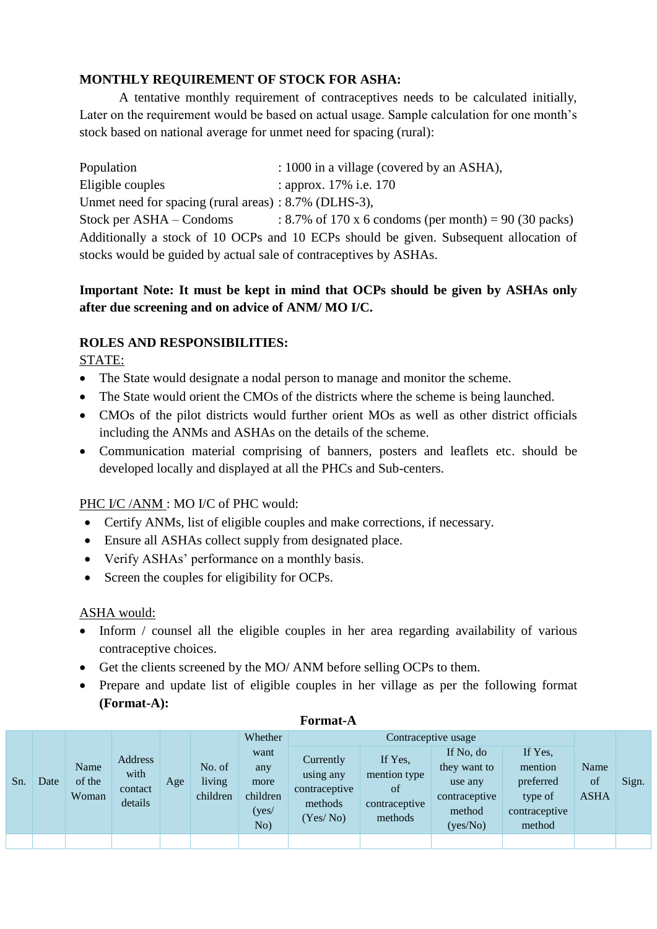# **MONTHLY REQUIREMENT OF STOCK FOR ASHA:**

A tentative monthly requirement of contraceptives needs to be calculated initially, Later on the requirement would be based on actual usage. Sample calculation for one month's stock based on national average for unmet need for spacing (rural):

Population : 1000 in a village (covered by an ASHA), Eligible couples : approx. 17% i.e. 170 Unmet need for spacing (rural areas) : 8.7% (DLHS-3), Stock per ASHA – Condoms :  $8.7\%$  of 170 x 6 condoms (per month) = 90 (30 packs) Additionally a stock of 10 OCPs and 10 ECPs should be given. Subsequent allocation of stocks would be guided by actual sale of contraceptives by ASHAs.

# **Important Note: It must be kept in mind that OCPs should be given by ASHAs only after due screening and on advice of ANM/ MO I/C.**

# **ROLES AND RESPONSIBILITIES:**

STATE:

- The State would designate a nodal person to manage and monitor the scheme.
- The State would orient the CMOs of the districts where the scheme is being launched.
- CMOs of the pilot districts would further orient MOs as well as other district officials including the ANMs and ASHAs on the details of the scheme.
- Communication material comprising of banners, posters and leaflets etc. should be developed locally and displayed at all the PHCs and Sub-centers.

# PHC I/C /ANM : MO I/C of PHC would:

- Certify ANMs, list of eligible couples and make corrections, if necessary.
- Ensure all ASHAs collect supply from designated place.
- Verify ASHAs' performance on a monthly basis.
- Screen the couples for eligibility for OCPs.

ASHA would:

- Inform / counsel all the eligible couples in her area regarding availability of various contraceptive choices.
- Get the clients screened by the MO/ ANM before selling OCPs to them.
- Prepare and update list of eligible couples in her village as per the following format **(Format-A):**

### **Format-A**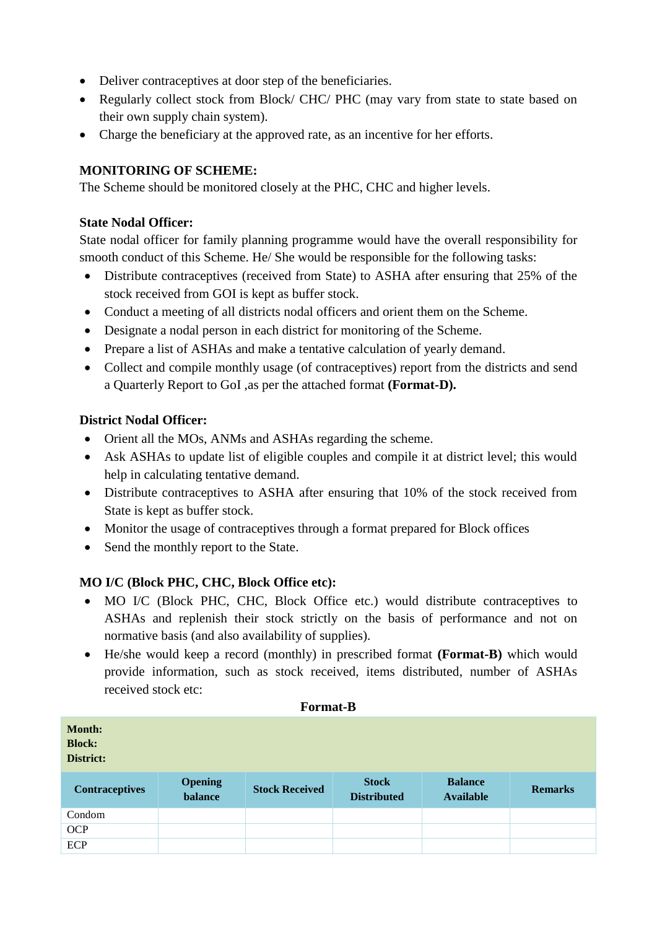- Deliver contraceptives at door step of the beneficiaries.
- Regularly collect stock from Block/ CHC/ PHC (may vary from state to state based on their own supply chain system).
- Charge the beneficiary at the approved rate, as an incentive for her efforts.

### **MONITORING OF SCHEME:**

The Scheme should be monitored closely at the PHC, CHC and higher levels.

### **State Nodal Officer:**

State nodal officer for family planning programme would have the overall responsibility for smooth conduct of this Scheme. He/ She would be responsible for the following tasks:

- Distribute contraceptives (received from State) to ASHA after ensuring that 25% of the stock received from GOI is kept as buffer stock.
- Conduct a meeting of all districts nodal officers and orient them on the Scheme.
- Designate a nodal person in each district for monitoring of the Scheme.
- Prepare a list of ASHAs and make a tentative calculation of yearly demand.
- Collect and compile monthly usage (of contraceptives) report from the districts and send a Quarterly Report to GoI ,as per the attached format **(Format-D).**

### **District Nodal Officer:**

- Orient all the MOs, ANMs and ASHAs regarding the scheme.
- Ask ASHAs to update list of eligible couples and compile it at district level; this would help in calculating tentative demand.
- Distribute contraceptives to ASHA after ensuring that 10% of the stock received from State is kept as buffer stock.
- Monitor the usage of contraceptives through a format prepared for Block offices
- Send the monthly report to the State.

# **MO I/C (Block PHC, CHC, Block Office etc):**

- MO I/C (Block PHC, CHC, Block Office etc.) would distribute contraceptives to ASHAs and replenish their stock strictly on the basis of performance and not on normative basis (and also availability of supplies).
- He/she would keep a record (monthly) in prescribed format **(Format-B)** which would provide information, such as stock received, items distributed, number of ASHAs received stock etc:

#### **Format-B**

| <b>Month:</b><br><b>Block:</b><br>District: |                           |                       |                                    |                                    |                |  |  |  |  |  |  |  |  |
|---------------------------------------------|---------------------------|-----------------------|------------------------------------|------------------------------------|----------------|--|--|--|--|--|--|--|--|
| <b>Contraceptives</b>                       | <b>Opening</b><br>balance | <b>Stock Received</b> | <b>Stock</b><br><b>Distributed</b> | <b>Balance</b><br><b>Available</b> | <b>Remarks</b> |  |  |  |  |  |  |  |  |
| Condom                                      |                           |                       |                                    |                                    |                |  |  |  |  |  |  |  |  |
| <b>OCP</b>                                  |                           |                       |                                    |                                    |                |  |  |  |  |  |  |  |  |
| <b>ECP</b>                                  |                           |                       |                                    |                                    |                |  |  |  |  |  |  |  |  |